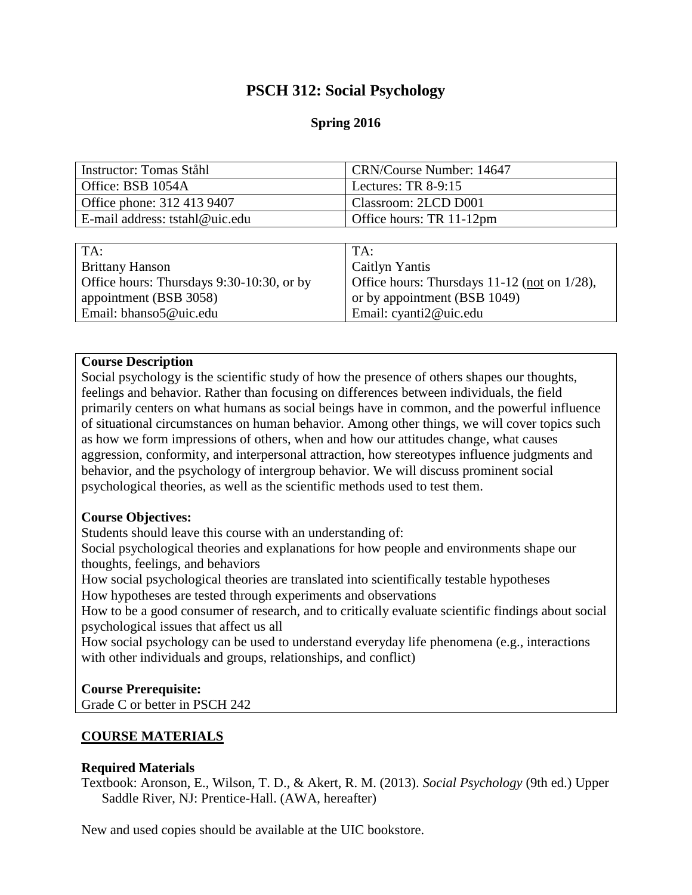# **PSCH 312: Social Psychology**

# **Spring 2016**

| Instructor: Tomas Ståhl                   | CRN/Course Number: 14647                     |
|-------------------------------------------|----------------------------------------------|
| Office: BSB 1054A                         | Lectures: TR $8-9:15$                        |
| Office phone: 312 413 9407                | Classroom: 2LCD D001                         |
| E-mail address: tstahl@uic.edu            | Office hours: TR 11-12pm                     |
|                                           |                                              |
| TA:                                       | TA:                                          |
| <b>Brittany Hanson</b>                    | Caitlyn Yantis                               |
| Office hours: Thursdays 9:30-10:30, or by | Office hours: Thursdays 11-12 (not on 1/28), |
| appointment (BSB 3058)                    | or by appointment (BSB 1049)                 |
| Email: bhanso5@uic.edu                    | Email: cyanti2@uic.edu                       |

### **Course Description**

Social psychology is the scientific study of how the presence of others shapes our thoughts, feelings and behavior. Rather than focusing on differences between individuals, the field primarily centers on what humans as social beings have in common, and the powerful influence of situational circumstances on human behavior. Among other things, we will cover topics such as how we form impressions of others, when and how our attitudes change, what causes aggression, conformity, and interpersonal attraction, how stereotypes influence judgments and behavior, and the psychology of intergroup behavior. We will discuss prominent social psychological theories, as well as the scientific methods used to test them.

### **Course Objectives:**

Students should leave this course with an understanding of:

Social psychological theories and explanations for how people and environments shape our thoughts, feelings, and behaviors

How social psychological theories are translated into scientifically testable hypotheses

How hypotheses are tested through experiments and observations

How to be a good consumer of research, and to critically evaluate scientific findings about social psychological issues that affect us all

How social psychology can be used to understand everyday life phenomena (e.g., interactions with other individuals and groups, relationships, and conflict)

### **Course Prerequisite:**

Grade C or better in PSCH 242

# **COURSE MATERIALS**

### **Required Materials**

Textbook: Aronson, E., Wilson, T. D., & Akert, R. M. (2013). *Social Psychology* (9th ed.) Upper Saddle River, NJ: Prentice-Hall. (AWA, hereafter)

New and used copies should be available at the UIC bookstore.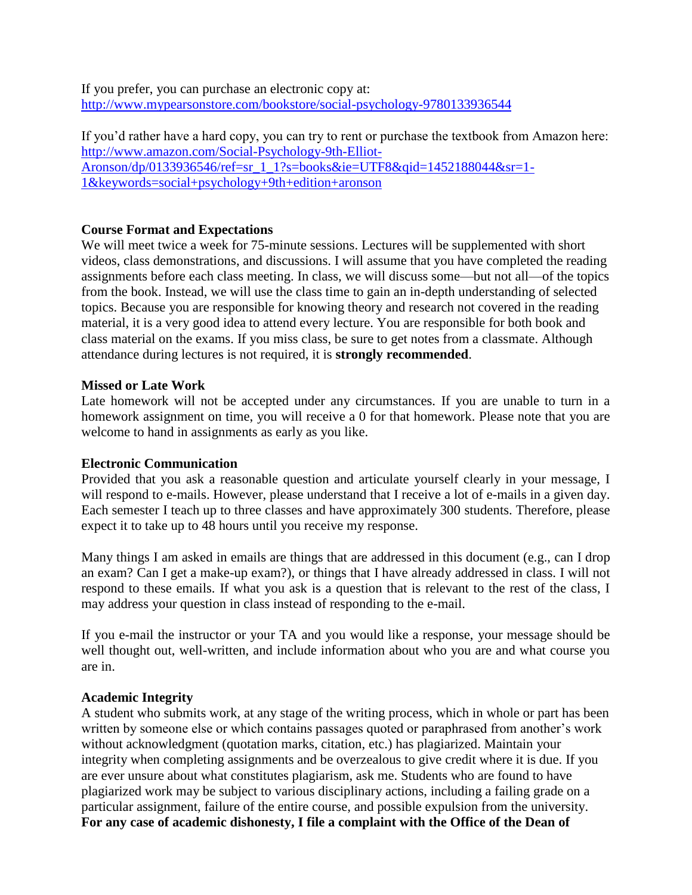If you prefer, you can purchase an electronic copy at: <http://www.mypearsonstore.com/bookstore/social-psychology-9780133936544>

If you'd rather have a hard copy, you can try to rent or purchase the textbook from Amazon here: [http://www.amazon.com/Social-Psychology-9th-Elliot-](http://www.amazon.com/Social-Psychology-9th-Elliot-Aronson/dp/0133936546/ref=sr_1_1?s=books&ie=UTF8&qid=1452188044&sr=1-1&keywords=social+psychology+9th+edition+aronson)[Aronson/dp/0133936546/ref=sr\\_1\\_1?s=books&ie=UTF8&qid=1452188044&sr=1-](http://www.amazon.com/Social-Psychology-9th-Elliot-Aronson/dp/0133936546/ref=sr_1_1?s=books&ie=UTF8&qid=1452188044&sr=1-1&keywords=social+psychology+9th+edition+aronson) [1&keywords=social+psychology+9th+edition+aronson](http://www.amazon.com/Social-Psychology-9th-Elliot-Aronson/dp/0133936546/ref=sr_1_1?s=books&ie=UTF8&qid=1452188044&sr=1-1&keywords=social+psychology+9th+edition+aronson)

### **Course Format and Expectations**

We will meet twice a week for 75-minute sessions. Lectures will be supplemented with short videos, class demonstrations, and discussions. I will assume that you have completed the reading assignments before each class meeting. In class, we will discuss some—but not all—of the topics from the book. Instead, we will use the class time to gain an in-depth understanding of selected topics. Because you are responsible for knowing theory and research not covered in the reading material, it is a very good idea to attend every lecture. You are responsible for both book and class material on the exams. If you miss class, be sure to get notes from a classmate. Although attendance during lectures is not required, it is **strongly recommended**.

### **Missed or Late Work**

Late homework will not be accepted under any circumstances. If you are unable to turn in a homework assignment on time, you will receive a 0 for that homework. Please note that you are welcome to hand in assignments as early as you like.

### **Electronic Communication**

Provided that you ask a reasonable question and articulate yourself clearly in your message, I will respond to e-mails. However, please understand that I receive a lot of e-mails in a given day. Each semester I teach up to three classes and have approximately 300 students. Therefore, please expect it to take up to 48 hours until you receive my response.

Many things I am asked in emails are things that are addressed in this document (e.g., can I drop an exam? Can I get a make-up exam?), or things that I have already addressed in class. I will not respond to these emails. If what you ask is a question that is relevant to the rest of the class, I may address your question in class instead of responding to the e-mail.

If you e-mail the instructor or your TA and you would like a response, your message should be well thought out, well-written, and include information about who you are and what course you are in.

### **Academic Integrity**

A student who submits work, at any stage of the writing process, which in whole or part has been written by someone else or which contains passages quoted or paraphrased from another's work without acknowledgment (quotation marks, citation, etc.) has plagiarized. Maintain your integrity when completing assignments and be overzealous to give credit where it is due. If you are ever unsure about what constitutes plagiarism, ask me. Students who are found to have plagiarized work may be subject to various disciplinary actions, including a failing grade on a particular assignment, failure of the entire course, and possible expulsion from the university. **For any case of academic dishonesty, I file a complaint with the Office of the Dean of**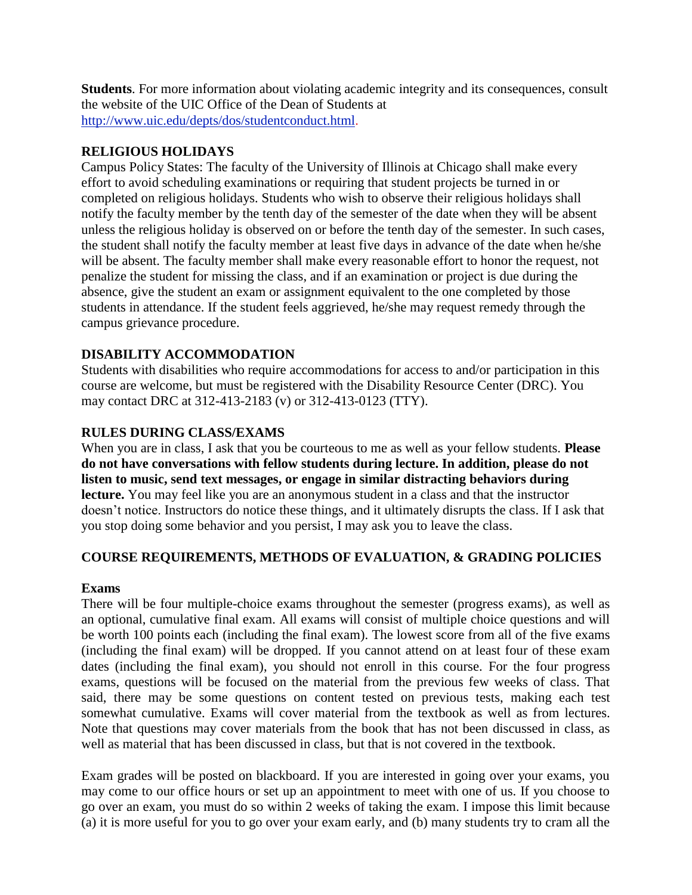**Students**. For more information about violating academic integrity and its consequences, consult the website of the UIC Office of the Dean of Students at [http://www.uic.edu/depts/dos/studentconduct.html.](http://www.uic.edu/depts/dos/studentconduct.html)

## **RELIGIOUS HOLIDAYS**

Campus Policy States: The faculty of the University of Illinois at Chicago shall make every effort to avoid scheduling examinations or requiring that student projects be turned in or completed on religious holidays. Students who wish to observe their religious holidays shall notify the faculty member by the tenth day of the semester of the date when they will be absent unless the religious holiday is observed on or before the tenth day of the semester. In such cases, the student shall notify the faculty member at least five days in advance of the date when he/she will be absent. The faculty member shall make every reasonable effort to honor the request, not penalize the student for missing the class, and if an examination or project is due during the absence, give the student an exam or assignment equivalent to the one completed by those students in attendance. If the student feels aggrieved, he/she may request remedy through the campus grievance procedure.

# **DISABILITY ACCOMMODATION**

Students with disabilities who require accommodations for access to and/or participation in this course are welcome, but must be registered with the Disability Resource Center (DRC). You may contact DRC at 312-413-2183 (v) or 312-413-0123 (TTY).

# **RULES DURING CLASS/EXAMS**

When you are in class, I ask that you be courteous to me as well as your fellow students. **Please do not have conversations with fellow students during lecture. In addition, please do not listen to music, send text messages, or engage in similar distracting behaviors during lecture.** You may feel like you are an anonymous student in a class and that the instructor doesn't notice. Instructors do notice these things, and it ultimately disrupts the class. If I ask that you stop doing some behavior and you persist, I may ask you to leave the class.

# **COURSE REQUIREMENTS, METHODS OF EVALUATION, & GRADING POLICIES**

### **Exams**

There will be four multiple-choice exams throughout the semester (progress exams), as well as an optional, cumulative final exam. All exams will consist of multiple choice questions and will be worth 100 points each (including the final exam). The lowest score from all of the five exams (including the final exam) will be dropped. If you cannot attend on at least four of these exam dates (including the final exam), you should not enroll in this course. For the four progress exams, questions will be focused on the material from the previous few weeks of class. That said, there may be some questions on content tested on previous tests, making each test somewhat cumulative. Exams will cover material from the textbook as well as from lectures. Note that questions may cover materials from the book that has not been discussed in class, as well as material that has been discussed in class, but that is not covered in the textbook.

Exam grades will be posted on blackboard. If you are interested in going over your exams, you may come to our office hours or set up an appointment to meet with one of us. If you choose to go over an exam, you must do so within 2 weeks of taking the exam. I impose this limit because (a) it is more useful for you to go over your exam early, and (b) many students try to cram all the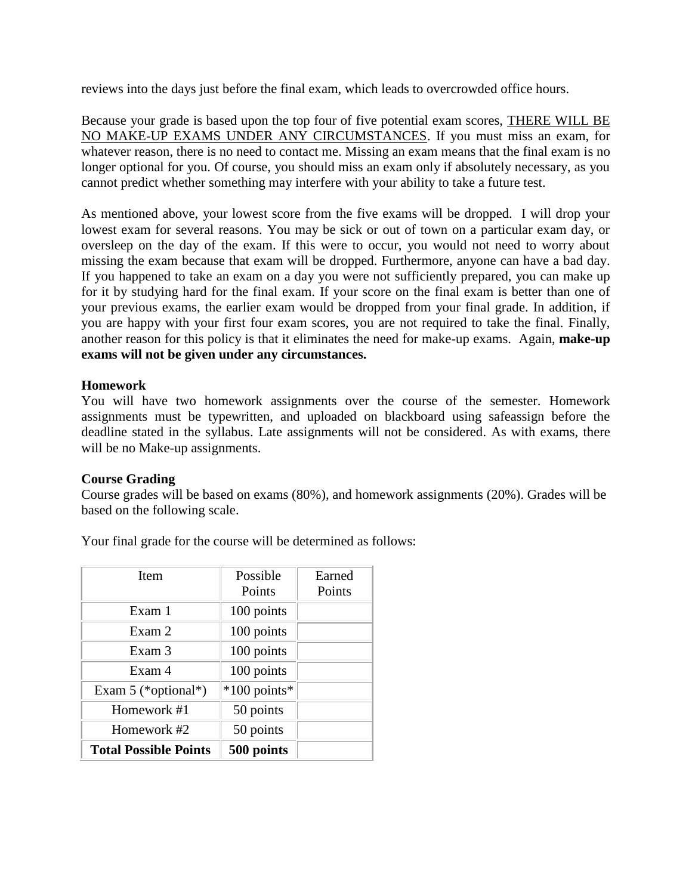reviews into the days just before the final exam, which leads to overcrowded office hours.

Because your grade is based upon the top four of five potential exam scores, THERE WILL BE NO MAKE-UP EXAMS UNDER ANY CIRCUMSTANCES. If you must miss an exam, for whatever reason, there is no need to contact me. Missing an exam means that the final exam is no longer optional for you. Of course, you should miss an exam only if absolutely necessary, as you cannot predict whether something may interfere with your ability to take a future test.

As mentioned above, your lowest score from the five exams will be dropped. I will drop your lowest exam for several reasons. You may be sick or out of town on a particular exam day, or oversleep on the day of the exam. If this were to occur, you would not need to worry about missing the exam because that exam will be dropped. Furthermore, anyone can have a bad day. If you happened to take an exam on a day you were not sufficiently prepared, you can make up for it by studying hard for the final exam. If your score on the final exam is better than one of your previous exams, the earlier exam would be dropped from your final grade. In addition, if you are happy with your first four exam scores, you are not required to take the final. Finally, another reason for this policy is that it eliminates the need for make-up exams. Again, **make-up exams will not be given under any circumstances.**

### **Homework**

You will have two homework assignments over the course of the semester. Homework assignments must be typewritten, and uploaded on blackboard using safeassign before the deadline stated in the syllabus. Late assignments will not be considered. As with exams, there will be no Make-up assignments.

### **Course Grading**

Course grades will be based on exams (80%), and homework assignments (20%). Grades will be based on the following scale.

Your final grade for the course will be determined as follows:

| <b>Item</b>                  | Possible     | Earned |
|------------------------------|--------------|--------|
|                              | Points       | Points |
| Exam 1                       | 100 points   |        |
| Exam 2                       | 100 points   |        |
| Exam 3                       | 100 points   |        |
| Exam 4                       | 100 points   |        |
| Exam 5 (*optional*)          | *100 points* |        |
| Homework #1                  | 50 points    |        |
| Homework #2                  | 50 points    |        |
| <b>Total Possible Points</b> | 500 points   |        |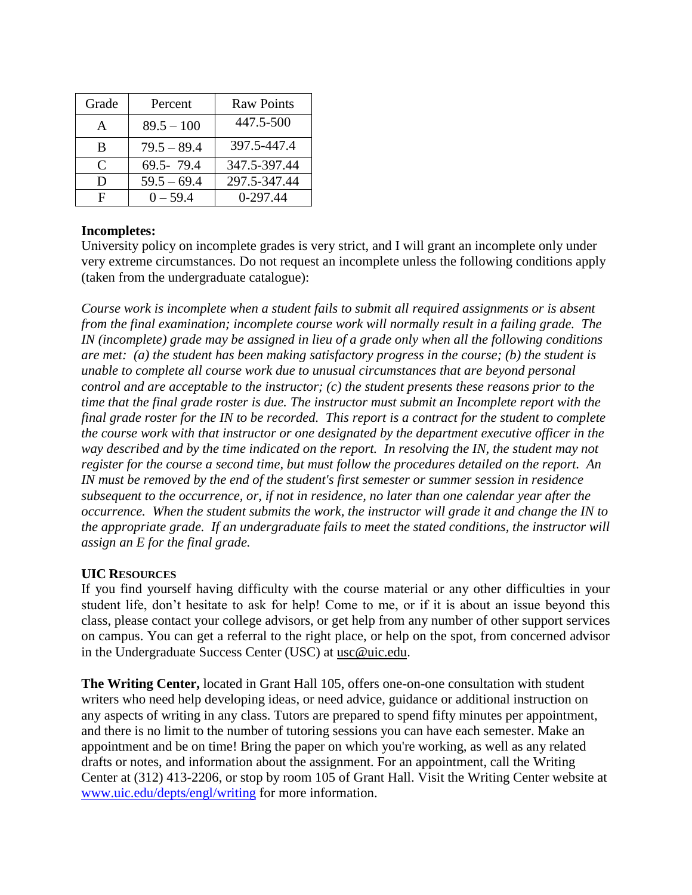| Grade                       | Percent       | <b>Raw Points</b> |
|-----------------------------|---------------|-------------------|
| A                           | $89.5 - 100$  | 447.5-500         |
| B                           | $79.5 - 89.4$ | 397.5-447.4       |
| $\mathcal{C}_{\mathcal{C}}$ | 69.5-79.4     | 347.5-397.44      |
| D                           | $59.5 - 69.4$ | 297.5-347.44      |
| F                           | $0 - 59.4$    | $0-297.44$        |

# **Incompletes:**

University policy on incomplete grades is very strict, and I will grant an incomplete only under very extreme circumstances. Do not request an incomplete unless the following conditions apply (taken from the undergraduate catalogue):

*Course work is incomplete when a student fails to submit all required assignments or is absent from the final examination; incomplete course work will normally result in a failing grade. The IN (incomplete) grade may be assigned in lieu of a grade only when all the following conditions are met: (a) the student has been making satisfactory progress in the course; (b) the student is unable to complete all course work due to unusual circumstances that are beyond personal control and are acceptable to the instructor; (c) the student presents these reasons prior to the time that the final grade roster is due. The instructor must submit an Incomplete report with the final grade roster for the IN to be recorded. This report is a contract for the student to complete the course work with that instructor or one designated by the department executive officer in the way described and by the time indicated on the report. In resolving the IN, the student may not register for the course a second time, but must follow the procedures detailed on the report. An IN must be removed by the end of the student's first semester or summer session in residence subsequent to the occurrence, or, if not in residence, no later than one calendar year after the occurrence. When the student submits the work, the instructor will grade it and change the IN to the appropriate grade. If an undergraduate fails to meet the stated conditions, the instructor will assign an E for the final grade.*

### **UIC RESOURCES**

If you find yourself having difficulty with the course material or any other difficulties in your student life, don't hesitate to ask for help! Come to me, or if it is about an issue beyond this class, please contact your college advisors, or get help from any number of other support services on campus. You can get a referral to the right place, or help on the spot, from concerned advisor in the Undergraduate Success Center (USC) at [usc@uic.edu](mailto:usc@uic.edu).

**The Writing Center,** located in Grant Hall 105, offers one-on-one consultation with student writers who need help developing ideas, or need advice, guidance or additional instruction on any aspects of writing in any class. Tutors are prepared to spend fifty minutes per appointment, and there is no limit to the number of tutoring sessions you can have each semester. Make an appointment and be on time! Bring the paper on which you're working, as well as any related drafts or notes, and information about the assignment. For an appointment, call the Writing Center at (312) 413-2206, or stop by room 105 of Grant Hall. Visit the Writing Center website at [www.uic.edu/depts/engl/writing](http://www.uic.edu/depts/engl/writing) for more information.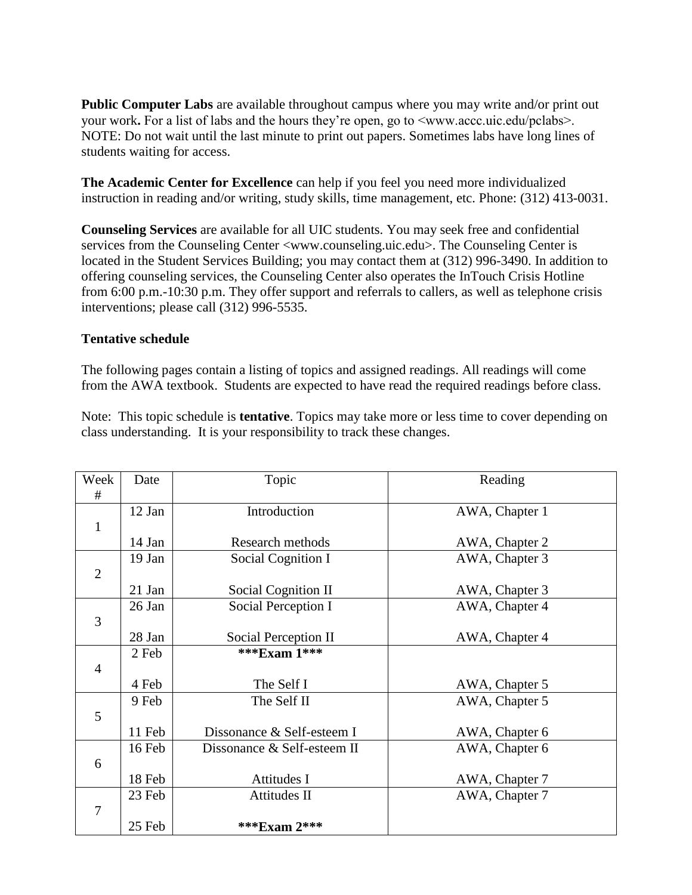**Public Computer Labs** are available throughout campus where you may write and/or print out your work**.** For a list of labs and the hours they're open, go to <www.accc.uic.edu/pclabs>. NOTE: Do not wait until the last minute to print out papers. Sometimes labs have long lines of students waiting for access.

**The Academic Center for Excellence** can help if you feel you need more individualized instruction in reading and/or writing, study skills, time management, etc. Phone: (312) 413-0031.

**Counseling Services** are available for all UIC students. You may seek free and confidential services from the Counseling Center <www.counseling.uic.edu>. The Counseling Center is located in the Student Services Building; you may contact them at (312) 996-3490. In addition to offering counseling services, the Counseling Center also operates the InTouch Crisis Hotline from 6:00 p.m.-10:30 p.m. They offer support and referrals to callers, as well as telephone crisis interventions; please call (312) 996-5535.

### **Tentative schedule**

The following pages contain a listing of topics and assigned readings. All readings will come from the AWA textbook. Students are expected to have read the required readings before class.

Note: This topic schedule is **tentative**. Topics may take more or less time to cover depending on class understanding. It is your responsibility to track these changes.

| Week           | Date     | Topic                       | Reading        |
|----------------|----------|-----------------------------|----------------|
| #              |          |                             |                |
|                | 12 Jan   | Introduction                | AWA, Chapter 1 |
| $\mathbf{1}$   |          |                             |                |
|                | 14 Jan   | Research methods            | AWA, Chapter 2 |
|                | 19 Jan   | Social Cognition I          | AWA, Chapter 3 |
| $\overline{2}$ |          |                             |                |
|                | $21$ Jan | Social Cognition II         | AWA, Chapter 3 |
|                | 26 Jan   | Social Perception I         | AWA, Chapter 4 |
| $\overline{3}$ |          |                             |                |
|                | 28 Jan   | Social Perception II        | AWA, Chapter 4 |
|                | 2 Feb    | ***Exam 1***                |                |
| $\overline{4}$ |          |                             |                |
|                | 4 Feb    | The Self I                  | AWA, Chapter 5 |
|                | 9 Feb    | The Self II                 | AWA, Chapter 5 |
| 5              |          |                             |                |
|                | 11 Feb   | Dissonance & Self-esteem I  | AWA, Chapter 6 |
|                | 16 Feb   | Dissonance & Self-esteem II | AWA, Chapter 6 |
| 6              |          |                             |                |
|                | 18 Feb   | Attitudes I                 | AWA, Chapter 7 |
|                | 23 Feb   | Attitudes II                | AWA, Chapter 7 |
| 7              |          |                             |                |
|                | 25 Feb   | *** $Exam 2$ ***            |                |